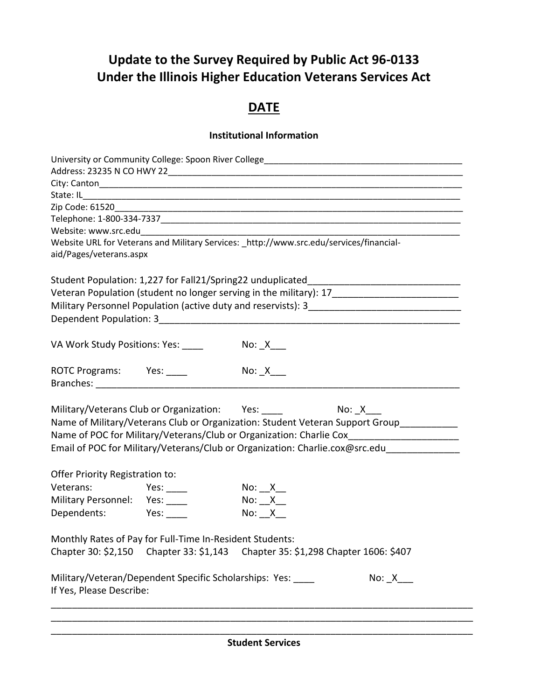# **Update to the Survey Required by Public Act 96-0133 Under the Illinois Higher Education Veterans Services Act**

# **DATE**

### **Institutional Information**

| Website URL for Veterans and Military Services: _http://www.src.edu/services/financial-             |                                            |                        |                                                                                            |  |
|-----------------------------------------------------------------------------------------------------|--------------------------------------------|------------------------|--------------------------------------------------------------------------------------------|--|
| aid/Pages/veterans.aspx                                                                             |                                            |                        |                                                                                            |  |
|                                                                                                     |                                            |                        | Student Population: 1,227 for Fall21/Spring22 unduplicated_____________________________    |  |
| Veteran Population (student no longer serving in the military): 17_________________________________ |                                            |                        |                                                                                            |  |
|                                                                                                     |                                            |                        |                                                                                            |  |
|                                                                                                     |                                            |                        |                                                                                            |  |
|                                                                                                     |                                            |                        |                                                                                            |  |
| VA Work Study Positions: Yes:                                                                       |                                            |                        |                                                                                            |  |
| ROTC Programs: Yes: ____                                                                            | $\mathsf{No}\colon \_X \_\_\_\_\mathsf{A}$ |                        |                                                                                            |  |
|                                                                                                     |                                            |                        |                                                                                            |  |
|                                                                                                     |                                            |                        |                                                                                            |  |
| Military/Veterans Club or Organization: Yes: ___________________________________                    |                                            |                        |                                                                                            |  |
|                                                                                                     |                                            |                        | Name of Military/Veterans Club or Organization: Student Veteran Support Group__________    |  |
|                                                                                                     |                                            |                        | Name of POC for Military/Veterans/Club or Organization: Charlie Cox____________________    |  |
|                                                                                                     |                                            |                        | Email of POC for Military/Veterans/Club or Organization: Charlie.cox@src.edu______________ |  |
|                                                                                                     |                                            |                        |                                                                                            |  |
| Offer Priority Registration to:                                                                     |                                            |                        |                                                                                            |  |
| Veterans: Yes: ____                                                                                 |                                            | No: $X$ <sub>___</sub> |                                                                                            |  |
| Military Personnel: Yes: ____                                                                       |                                            | No: <u>X</u>           |                                                                                            |  |
| Dependents: Yes:                                                                                    |                                            | No: <u>X</u>           |                                                                                            |  |
| Monthly Rates of Pay for Full-Time In-Resident Students:                                            |                                            |                        |                                                                                            |  |
| Chapter 30: \$2,150 Chapter 33: \$1,143 Chapter 35: \$1,298 Chapter 1606: \$407                     |                                            |                        |                                                                                            |  |
| Military/Veteran/Dependent Specific Scholarships: Yes:                                              |                                            |                        |                                                                                            |  |
| If Yes, Please Describe:                                                                            |                                            |                        |                                                                                            |  |
|                                                                                                     |                                            |                        |                                                                                            |  |
|                                                                                                     |                                            |                        |                                                                                            |  |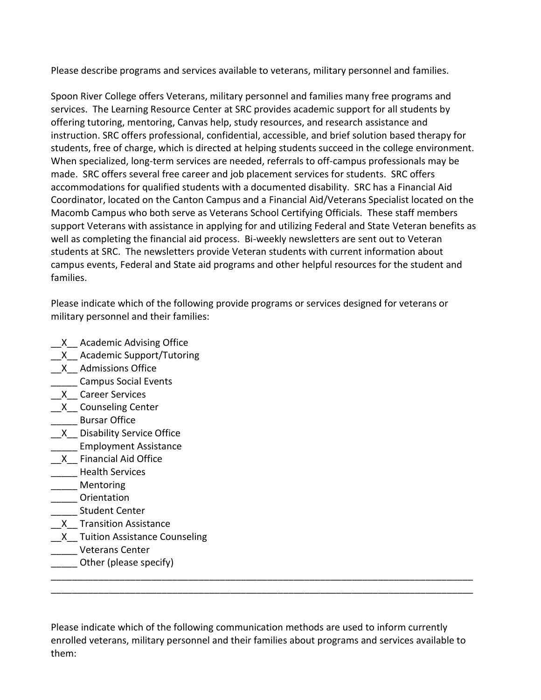Please describe programs and services available to veterans, military personnel and families.

Spoon River College offers Veterans, military personnel and families many free programs and services. The Learning Resource Center at SRC provides academic support for all students by offering tutoring, mentoring, Canvas help, study resources, and research assistance and instruction. SRC offers professional, confidential, accessible, and brief solution based therapy for students, free of charge, which is directed at helping students succeed in the college environment. When specialized, long-term services are needed, referrals to off-campus professionals may be made. SRC offers several free career and job placement services for students. SRC offers accommodations for qualified students with a documented disability. SRC has a Financial Aid Coordinator, located on the Canton Campus and a Financial Aid/Veterans Specialist located on the Macomb Campus who both serve as Veterans School Certifying Officials. These staff members support Veterans with assistance in applying for and utilizing Federal and State Veteran benefits as well as completing the financial aid process. Bi-weekly newsletters are sent out to Veteran students at SRC. The newsletters provide Veteran students with current information about campus events, Federal and State aid programs and other helpful resources for the student and families.

Please indicate which of the following provide programs or services designed for veterans or military personnel and their families:

- \_\_X\_\_ Academic Advising Office
- \_\_X\_\_ Academic Support/Tutoring
- \_\_X\_\_ Admissions Office
- \_\_\_\_\_ Campus Social Events
- \_\_X\_\_ Career Services
- \_\_X\_\_ Counseling Center
- \_\_\_\_\_ Bursar Office
- \_\_X\_\_ Disability Service Office
- \_\_\_\_\_ Employment Assistance
- \_\_X\_\_ Financial Aid Office
- \_\_\_\_\_ Health Services
- \_\_\_\_\_ Mentoring
- \_\_\_\_\_ Orientation
- \_\_\_\_\_ Student Center
- \_\_X\_\_ Transition Assistance
- \_\_X\_\_ Tuition Assistance Counseling
- \_\_\_\_\_ Veterans Center
- \_\_\_\_\_ Other (please specify)

Please indicate which of the following communication methods are used to inform currently enrolled veterans, military personnel and their families about programs and services available to them:

\_\_\_\_\_\_\_\_\_\_\_\_\_\_\_\_\_\_\_\_\_\_\_\_\_\_\_\_\_\_\_\_\_\_\_\_\_\_\_\_\_\_\_\_\_\_\_\_\_\_\_\_\_\_\_\_\_\_\_\_\_\_\_\_\_\_\_\_\_\_\_\_\_\_\_\_\_\_\_\_ \_\_\_\_\_\_\_\_\_\_\_\_\_\_\_\_\_\_\_\_\_\_\_\_\_\_\_\_\_\_\_\_\_\_\_\_\_\_\_\_\_\_\_\_\_\_\_\_\_\_\_\_\_\_\_\_\_\_\_\_\_\_\_\_\_\_\_\_\_\_\_\_\_\_\_\_\_\_\_\_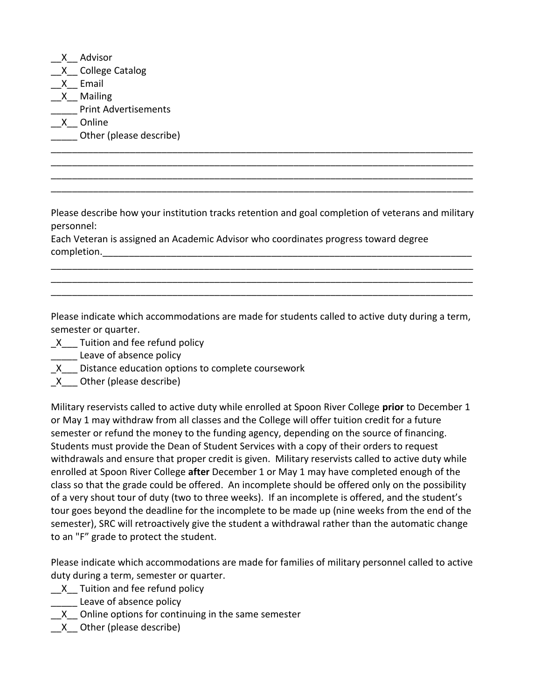|              | Advisor                     |
|--------------|-----------------------------|
|              | $X$ College Catalog         |
| $\mathsf{X}$ | Email                       |
| $\mathsf{X}$ | Mailing                     |
|              | <b>Print Advertisements</b> |
| $\mathsf{X}$ | Online                      |
|              | Other (please describe)     |
|              |                             |

Please describe how your institution tracks retention and goal completion of veterans and military personnel:

\_\_\_\_\_\_\_\_\_\_\_\_\_\_\_\_\_\_\_\_\_\_\_\_\_\_\_\_\_\_\_\_\_\_\_\_\_\_\_\_\_\_\_\_\_\_\_\_\_\_\_\_\_\_\_\_\_\_\_\_\_\_\_\_\_\_\_\_\_\_\_\_\_\_\_\_\_\_\_\_ \_\_\_\_\_\_\_\_\_\_\_\_\_\_\_\_\_\_\_\_\_\_\_\_\_\_\_\_\_\_\_\_\_\_\_\_\_\_\_\_\_\_\_\_\_\_\_\_\_\_\_\_\_\_\_\_\_\_\_\_\_\_\_\_\_\_\_\_\_\_\_\_\_\_\_\_\_\_\_\_ \_\_\_\_\_\_\_\_\_\_\_\_\_\_\_\_\_\_\_\_\_\_\_\_\_\_\_\_\_\_\_\_\_\_\_\_\_\_\_\_\_\_\_\_\_\_\_\_\_\_\_\_\_\_\_\_\_\_\_\_\_\_\_\_\_\_\_\_\_\_\_\_\_\_\_\_\_\_\_\_

\_\_\_\_\_\_\_\_\_\_\_\_\_\_\_\_\_\_\_\_\_\_\_\_\_\_\_\_\_\_\_\_\_\_\_\_\_\_\_\_\_\_\_\_\_\_\_\_\_\_\_\_\_\_\_\_\_\_\_\_\_\_\_\_\_\_\_\_\_\_\_\_\_\_\_\_\_\_\_\_ \_\_\_\_\_\_\_\_\_\_\_\_\_\_\_\_\_\_\_\_\_\_\_\_\_\_\_\_\_\_\_\_\_\_\_\_\_\_\_\_\_\_\_\_\_\_\_\_\_\_\_\_\_\_\_\_\_\_\_\_\_\_\_\_\_\_\_\_\_\_\_\_\_\_\_\_\_\_\_\_ \_\_\_\_\_\_\_\_\_\_\_\_\_\_\_\_\_\_\_\_\_\_\_\_\_\_\_\_\_\_\_\_\_\_\_\_\_\_\_\_\_\_\_\_\_\_\_\_\_\_\_\_\_\_\_\_\_\_\_\_\_\_\_\_\_\_\_\_\_\_\_\_\_\_\_\_\_\_\_\_

Each Veteran is assigned an Academic Advisor who coordinates progress toward degree completion.

Please indicate which accommodations are made for students called to active duty during a term, semester or quarter.

- X Tuition and fee refund policy
- \_\_\_\_\_ Leave of absence policy
- \_X\_\_\_ Distance education options to complete coursework
- X Other (please describe)

Military reservists called to active duty while enrolled at Spoon River College **prior** to December 1 or May 1 may withdraw from all classes and the College will offer tuition credit for a future semester or refund the money to the funding agency, depending on the source of financing. Students must provide the Dean of Student Services with a copy of their orders to request withdrawals and ensure that proper credit is given. Military reservists called to active duty while enrolled at Spoon River College **after** December 1 or May 1 may have completed enough of the class so that the grade could be offered. An incomplete should be offered only on the possibility of a very shout tour of duty (two to three weeks). If an incomplete is offered, and the student's tour goes beyond the deadline for the incomplete to be made up (nine weeks from the end of the semester), SRC will retroactively give the student a withdrawal rather than the automatic change to an "F" grade to protect the student.

Please indicate which accommodations are made for families of military personnel called to active duty during a term, semester or quarter.

- X Tuition and fee refund policy
- Leave of absence policy
- X Online options for continuing in the same semester
- \_\_X\_\_ Other (please describe)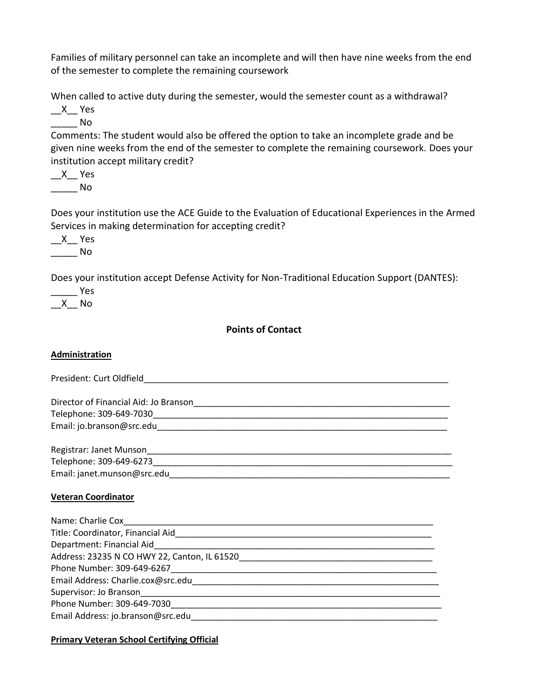Families of military personnel can take an incomplete and will then have nine weeks from the end of the semester to complete the remaining coursework

When called to active duty during the semester, would the semester count as a withdrawal?

 $X$  Yes \_\_\_\_\_ No

Comments: The student would also be offered the option to take an incomplete grade and be given nine weeks from the end of the semester to complete the remaining coursework. Does your institution accept military credit?

 $X$ <sup>Yes</sup>  $\rule{1em}{0.15mm}$  No

Does your institution use the ACE Guide to the Evaluation of Educational Experiences in the Armed Services in making determination for accepting credit?

 $X$ <sup>Yes</sup> \_\_\_\_\_ No

Does your institution accept Defense Activity for Non-Traditional Education Support (DANTES):

\_\_\_\_\_ Yes \_\_X\_\_ No

**Points of Contact**

#### **Administration**

| President: Curt Oldfield <b>Example 2018</b> |
|----------------------------------------------|
|                                              |
|                                              |
|                                              |
|                                              |
|                                              |
|                                              |
|                                              |
|                                              |
|                                              |
| <b>Veteran Coordinator</b>                   |
|                                              |
|                                              |
|                                              |
|                                              |
|                                              |
|                                              |
|                                              |
|                                              |
| Phone Number: 309-649-7030                   |

Email Address: jo.branson@src.edu\_\_\_\_\_\_\_\_\_\_\_\_\_\_\_\_\_\_\_\_\_\_\_\_\_\_\_\_\_\_\_\_\_\_\_\_\_\_\_\_\_\_\_\_\_\_\_\_\_\_\_

#### **Primary Veteran School Certifying Official**